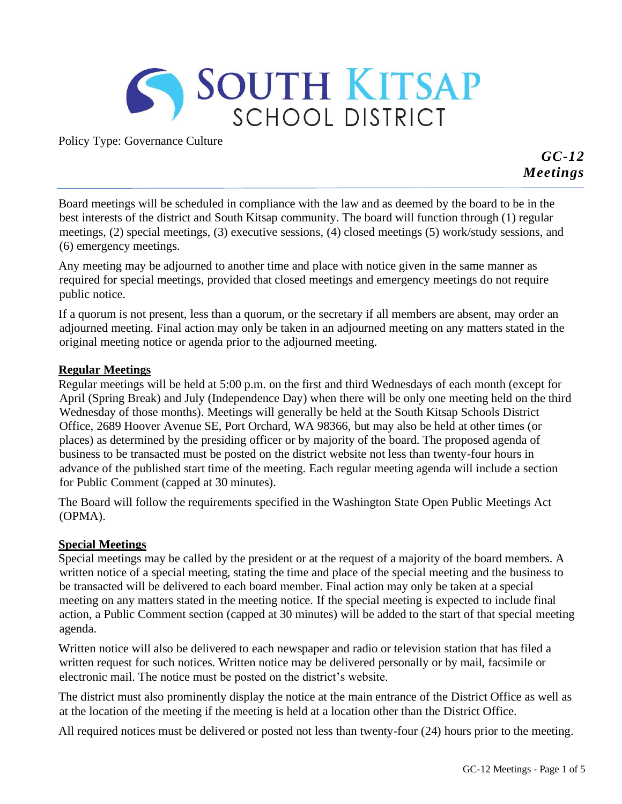

Policy Type: Governance Culture

*GC-12 Meetings*

Board meetings will be scheduled in compliance with the law and as deemed by the board to be in the best interests of the district and South Kitsap community. The board will function through (1) regular meetings, (2) special meetings, (3) executive sessions, (4) closed meetings (5) work/study sessions, and (6) emergency meetings.

Any meeting may be adjourned to another time and place with notice given in the same manner as required for special meetings, provided that closed meetings and emergency meetings do not require public notice.

If a quorum is not present, less than a quorum, or the secretary if all members are absent, may order an adjourned meeting. Final action may only be taken in an adjourned meeting on any matters stated in the original meeting notice or agenda prior to the adjourned meeting.

### **Regular Meetings**

Regular meetings will be held at 5:00 p.m. on the first and third Wednesdays of each month (except for April (Spring Break) and July (Independence Day) when there will be only one meeting held on the third Wednesday of those months). Meetings will generally be held at the South Kitsap Schools District Office, 2689 Hoover Avenue SE, Port Orchard, WA 98366, but may also be held at other times (or places) as determined by the presiding officer or by majority of the board. The proposed agenda of business to be transacted must be posted on the district website not less than twenty-four hours in advance of the published start time of the meeting. Each regular meeting agenda will include a section for Public Comment (capped at 30 minutes).

The Board will follow the requirements specified in the Washington State Open Public Meetings Act (OPMA).

### **Special Meetings**

Special meetings may be called by the president or at the request of a majority of the board members. A written notice of a special meeting, stating the time and place of the special meeting and the business to be transacted will be delivered to each board member. Final action may only be taken at a special meeting on any matters stated in the meeting notice. If the special meeting is expected to include final action, a Public Comment section (capped at 30 minutes) will be added to the start of that special meeting agenda.

Written notice will also be delivered to each newspaper and radio or television station that has filed a written request for such notices. Written notice may be delivered personally or by mail, facsimile or electronic mail. The notice must be posted on the district's website.

The district must also prominently display the notice at the main entrance of the District Office as well as at the location of the meeting if the meeting is held at a location other than the District Office.

All required notices must be delivered or posted not less than twenty-four (24) hours prior to the meeting.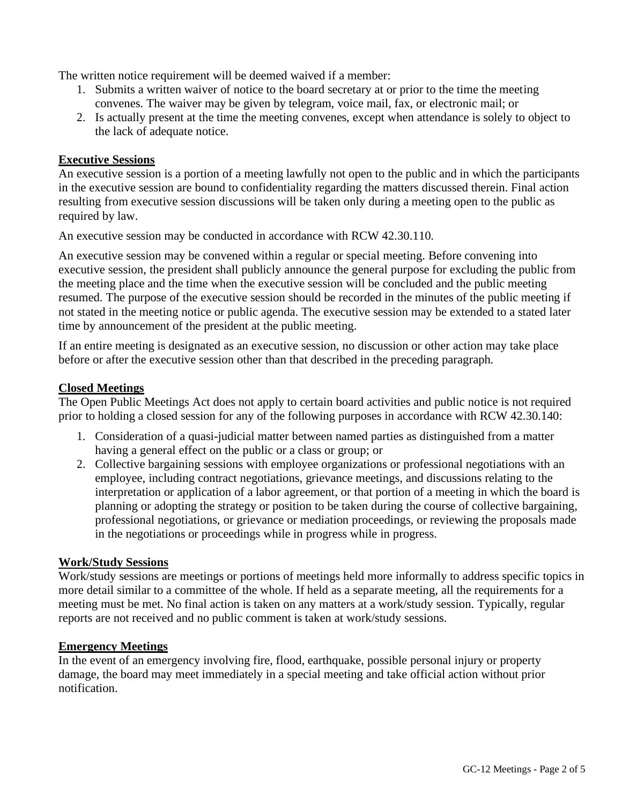The written notice requirement will be deemed waived if a member:

- 1. Submits a written waiver of notice to the board secretary at or prior to the time the meeting convenes. The waiver may be given by telegram, voice mail, fax, or electronic mail; or
- 2. Is actually present at the time the meeting convenes, except when attendance is solely to object to the lack of adequate notice.

# **Executive Sessions**

An executive session is a portion of a meeting lawfully not open to the public and in which the participants in the executive session are bound to confidentiality regarding the matters discussed therein. Final action resulting from executive session discussions will be taken only during a meeting open to the public as required by law.

An executive session may be conducted in accordance with RCW 42.30.110.

An executive session may be convened within a regular or special meeting. Before convening into executive session, the president shall publicly announce the general purpose for excluding the public from the meeting place and the time when the executive session will be concluded and the public meeting resumed. The purpose of the executive session should be recorded in the minutes of the public meeting if not stated in the meeting notice or public agenda. The executive session may be extended to a stated later time by announcement of the president at the public meeting.

If an entire meeting is designated as an executive session, no discussion or other action may take place before or after the executive session other than that described in the preceding paragraph.

### **Closed Meetings**

The Open Public Meetings Act does not apply to certain board activities and public notice is not required prior to holding a closed session for any of the following purposes in accordance with RCW 42.30.140:

- 1. Consideration of a quasi-judicial matter between named parties as distinguished from a matter having a general effect on the public or a class or group; or
- 2. Collective bargaining sessions with employee organizations or professional negotiations with an employee, including contract negotiations, grievance meetings, and discussions relating to the interpretation or application of a labor agreement, or that portion of a meeting in which the board is planning or adopting the strategy or position to be taken during the course of collective bargaining, professional negotiations, or grievance or mediation proceedings, or reviewing the proposals made in the negotiations or proceedings while in progress while in progress.

#### **Work/Study Sessions**

Work/study sessions are meetings or portions of meetings held more informally to address specific topics in more detail similar to a committee of the whole. If held as a separate meeting, all the requirements for a meeting must be met. No final action is taken on any matters at a work/study session. Typically, regular reports are not received and no public comment is taken at work/study sessions.

### **Emergency Meetings**

In the event of an emergency involving fire, flood, earthquake, possible personal injury or property damage, the board may meet immediately in a special meeting and take official action without prior notification.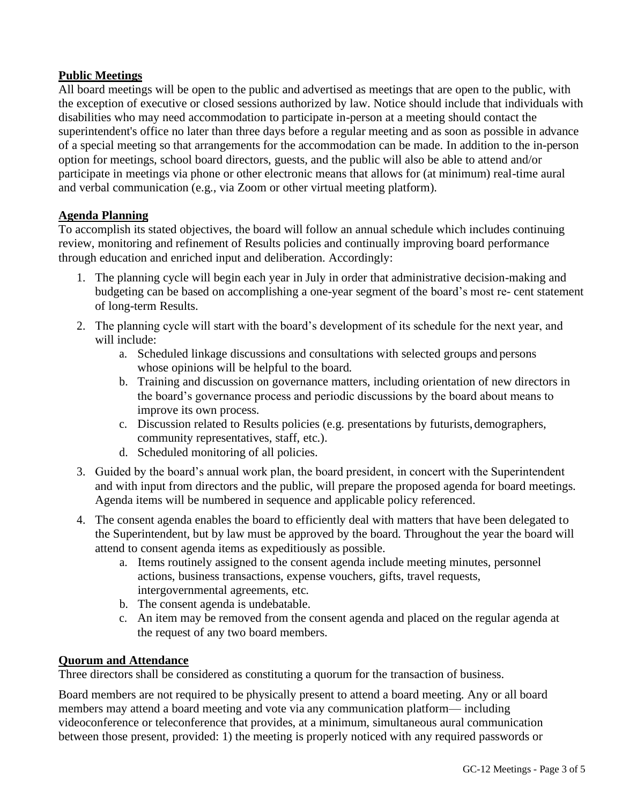# **Public Meetings**

All board meetings will be open to the public and advertised as meetings that are open to the public, with the exception of executive or closed sessions authorized by law. Notice should include that individuals with disabilities who may need accommodation to participate in-person at a meeting should contact the superintendent's office no later than three days before a regular meeting and as soon as possible in advance of a special meeting so that arrangements for the accommodation can be made. In addition to the in-person option for meetings, school board directors, guests, and the public will also be able to attend and/or participate in meetings via phone or other electronic means that allows for (at minimum) real-time aural and verbal communication (e.g., via Zoom or other virtual meeting platform).

# **Agenda Planning**

To accomplish its stated objectives, the board will follow an annual schedule which includes continuing review, monitoring and refinement of Results policies and continually improving board performance through education and enriched input and deliberation. Accordingly:

- 1. The planning cycle will begin each year in July in order that administrative decision-making and budgeting can be based on accomplishing a one-year segment of the board's most re- cent statement of long-term Results.
- 2. The planning cycle will start with the board's development of its schedule for the next year, and will include:
	- a. Scheduled linkage discussions and consultations with selected groups and persons whose opinions will be helpful to the board.
	- b. Training and discussion on governance matters, including orientation of new directors in the board's governance process and periodic discussions by the board about means to improve its own process.
	- c. Discussion related to Results policies (e.g. presentations by futurists, demographers, community representatives, staff, etc.).
	- d. Scheduled monitoring of all policies.
- 3. Guided by the board's annual work plan, the board president, in concert with the Superintendent and with input from directors and the public, will prepare the proposed agenda for board meetings. Agenda items will be numbered in sequence and applicable policy referenced.
- 4. The consent agenda enables the board to efficiently deal with matters that have been delegated to the Superintendent, but by law must be approved by the board. Throughout the year the board will attend to consent agenda items as expeditiously as possible.
	- a. Items routinely assigned to the consent agenda include meeting minutes, personnel actions, business transactions, expense vouchers, gifts, travel requests, intergovernmental agreements, etc.
	- b. The consent agenda is undebatable.
	- c. An item may be removed from the consent agenda and placed on the regular agenda at the request of any two board members.

### **Quorum and Attendance**

Three directors shall be considered as constituting a quorum for the transaction of business.

Board members are not required to be physically present to attend a board meeting. Any or all board members may attend a board meeting and vote via any communication platform— including videoconference or teleconference that provides, at a minimum, simultaneous aural communication between those present, provided: 1) the meeting is properly noticed with any required passwords or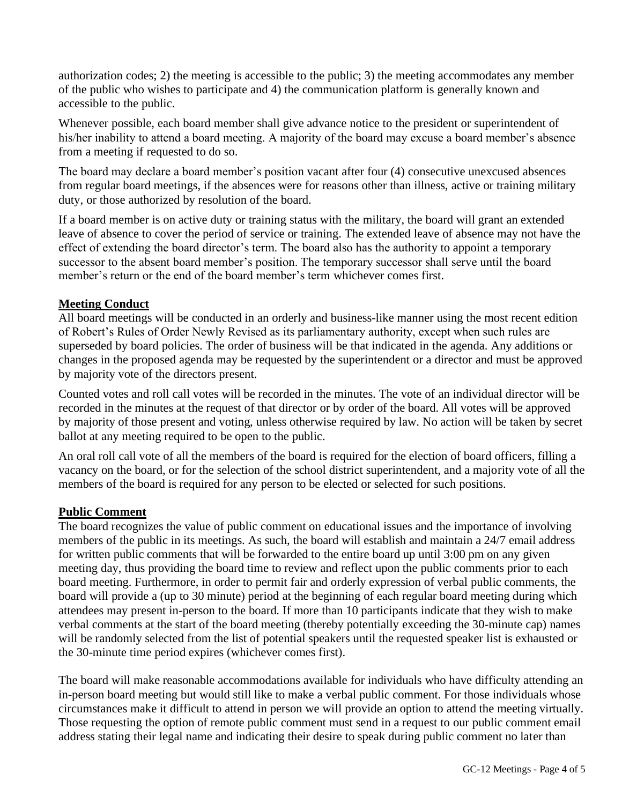authorization codes; 2) the meeting is accessible to the public; 3) the meeting accommodates any member of the public who wishes to participate and 4) the communication platform is generally known and accessible to the public.

Whenever possible, each board member shall give advance notice to the president or superintendent of his/her inability to attend a board meeting. A majority of the board may excuse a board member's absence from a meeting if requested to do so.

The board may declare a board member's position vacant after four (4) consecutive unexcused absences from regular board meetings, if the absences were for reasons other than illness, active or training military duty, or those authorized by resolution of the board.

If a board member is on active duty or training status with the military, the board will grant an extended leave of absence to cover the period of service or training. The extended leave of absence may not have the effect of extending the board director's term. The board also has the authority to appoint a temporary successor to the absent board member's position. The temporary successor shall serve until the board member's return or the end of the board member's term whichever comes first.

# **Meeting Conduct**

All board meetings will be conducted in an orderly and business-like manner using the most recent edition of Robert's Rules of Order Newly Revised as its parliamentary authority, except when such rules are superseded by board policies. The order of business will be that indicated in the agenda. Any additions or changes in the proposed agenda may be requested by the superintendent or a director and must be approved by majority vote of the directors present.

Counted votes and roll call votes will be recorded in the minutes. The vote of an individual director will be recorded in the minutes at the request of that director or by order of the board. All votes will be approved by majority of those present and voting, unless otherwise required by law. No action will be taken by secret ballot at any meeting required to be open to the public.

An oral roll call vote of all the members of the board is required for the election of board officers, filling a vacancy on the board, or for the selection of the school district superintendent, and a majority vote of all the members of the board is required for any person to be elected or selected for such positions.

### **Public Comment**

The board recognizes the value of public comment on educational issues and the importance of involving members of the public in its meetings. As such, the board will establish and maintain a 24/7 email address for written public comments that will be forwarded to the entire board up until 3:00 pm on any given meeting day, thus providing the board time to review and reflect upon the public comments prior to each board meeting. Furthermore, in order to permit fair and orderly expression of verbal public comments, the board will provide a (up to 30 minute) period at the beginning of each regular board meeting during which attendees may present in-person to the board. If more than 10 participants indicate that they wish to make verbal comments at the start of the board meeting (thereby potentially exceeding the 30-minute cap) names will be randomly selected from the list of potential speakers until the requested speaker list is exhausted or the 30-minute time period expires (whichever comes first).

The board will make reasonable accommodations available for individuals who have difficulty attending an in-person board meeting but would still like to make a verbal public comment. For those individuals whose circumstances make it difficult to attend in person we will provide an option to attend the meeting virtually. Those requesting the option of remote public comment must send in a request to our public comment email address stating their legal name and indicating their desire to speak during public comment no later than